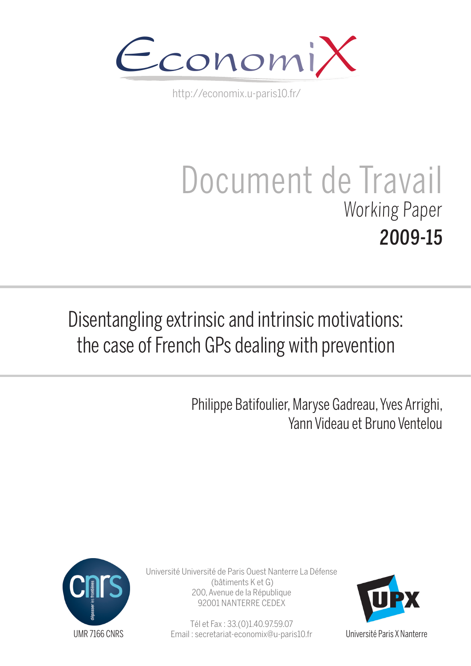

http://economix.u-paris10.fr/

# Document de Travail Working Paper 2009-15

## Disentangling extrinsic and intrinsic motivations: the case of French GPs dealing with prevention

Philippe Batifoulier, Maryse Gadreau, Yves Arrighi, Yann Videau et Bruno Ventelou



Université Université de Paris Ouest Nanterre La Défense (bâtiments K et G) 200, Avenue de la République 92001 NANTERRE CEDEX

> Tél et Fax : 33.(0)1.40.97.59.07 Email : secretariat-economix@u-paris10.fr



Université Paris X Nanterre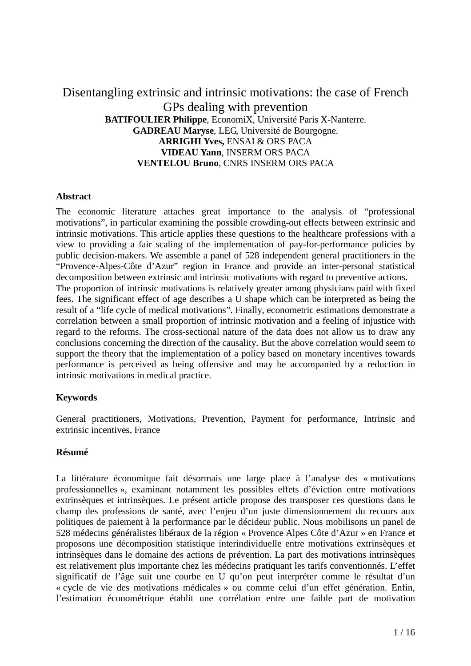#### Disentangling extrinsic and intrinsic motivations: the case of French GPs dealing with prevention **BATIFOULIER Philippe**, EconomiX, Université Paris X-Nanterre. **GADREAU Maryse**, LEG, Université de Bourgogne. **ARRIGHI Yves,** ENSAI & ORS PACA **VIDEAU Yann**, INSERM ORS PACA **VENTELOU Bruno**, CNRS INSERM ORS PACA

#### **Abstract**

The economic literature attaches great importance to the analysis of "professional motivations", in particular examining the possible crowding-out effects between extrinsic and intrinsic motivations. This article applies these questions to the healthcare professions with a view to providing a fair scaling of the implementation of pay-for-performance policies by public decision-makers. We assemble a panel of 528 independent general practitioners in the "Provence-Alpes-Côte d'Azur" region in France and provide an inter-personal statistical decomposition between extrinsic and intrinsic motivations with regard to preventive actions. The proportion of intrinsic motivations is relatively greater among physicians paid with fixed fees. The significant effect of age describes a U shape which can be interpreted as being the result of a "life cycle of medical motivations". Finally, econometric estimations demonstrate a correlation between a small proportion of intrinsic motivation and a feeling of injustice with regard to the reforms. The cross-sectional nature of the data does not allow us to draw any conclusions concerning the direction of the causality. But the above correlation would seem to support the theory that the implementation of a policy based on monetary incentives towards performance is perceived as being offensive and may be accompanied by a reduction in intrinsic motivations in medical practice.

#### **Keywords**

General practitioners, Motivations, Prevention, Payment for performance, Intrinsic and extrinsic incentives, France

#### **Résumé**

La littérature économique fait désormais une large place à l'analyse des « motivations professionnelles », examinant notamment les possibles effets d'éviction entre motivations extrinsèques et intrinsèques. Le présent article propose des transposer ces questions dans le champ des professions de santé, avec l'enjeu d'un juste dimensionnement du recours aux politiques de paiement à la performance par le décideur public. Nous mobilisons un panel de 528 médecins généralistes libéraux de la région « Provence Alpes Côte d'Azur » en France et proposons une décomposition statistique interindividuelle entre motivations extrinsèques et intrinsèques dans le domaine des actions de prévention. La part des motivations intrinsèques est relativement plus importante chez les médecins pratiquant les tarifs conventionnés. L'effet significatif de l'âge suit une courbe en U qu'on peut interpréter comme le résultat d'un « cycle de vie des motivations médicales » ou comme celui d'un effet génération. Enfin, l'estimation économétrique établit une corrélation entre une faible part de motivation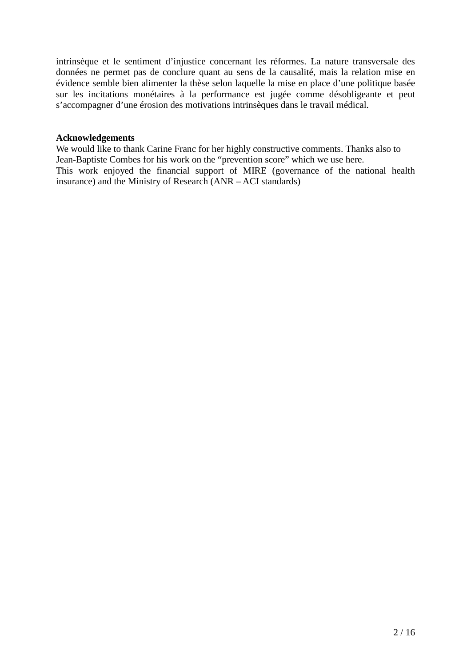intrinsèque et le sentiment d'injustice concernant les réformes. La nature transversale des données ne permet pas de conclure quant au sens de la causalité, mais la relation mise en évidence semble bien alimenter la thèse selon laquelle la mise en place d'une politique basée sur les incitations monétaires à la performance est jugée comme désobligeante et peut s'accompagner d'une érosion des motivations intrinsèques dans le travail médical.

#### **Acknowledgements**

We would like to thank Carine Franc for her highly constructive comments. Thanks also to Jean-Baptiste Combes for his work on the "prevention score" which we use here. This work enjoyed the financial support of MIRE (governance of the national health insurance) and the Ministry of Research (ANR – ACI standards)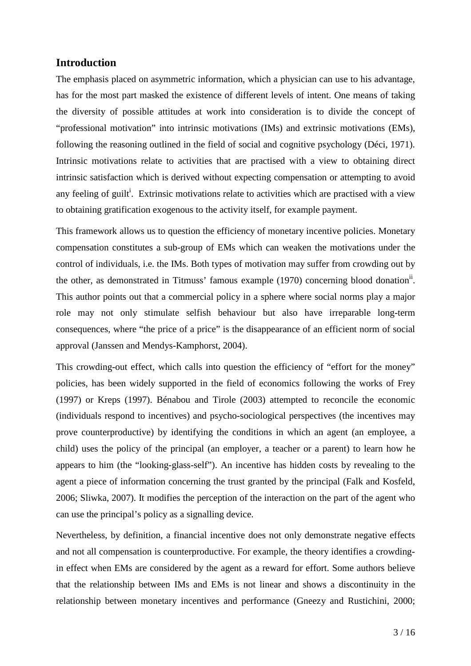#### **Introduction**

The emphasis placed on asymmetric information, which a physician can use to his advantage, has for the most part masked the existence of different levels of intent. One means of taking the diversity of possible attitudes at work into consideration is to divide the concept of "professional motivation" into intrinsic motivations (IMs) and extrinsic motivations (EMs), following the reasoning outlined in the field of social and cognitive psychology (Déci, 1971). Intrinsic motivations relate to activities that are practised with a view to obtaining direct intrinsic satisfaction which is derived without expecting compensation or attempting to avoid any feeling of guilt<sup>i</sup>. Extrinsic motivations relate to activities which are practised with a view to obtaining gratification exogenous to the activity itself, for example payment.

This framework allows us to question the efficiency of monetary incentive policies. Monetary compensation constitutes a sub-group of EMs which can weaken the motivations under the control of individuals, i.e. the IMs. Both types of motivation may suffer from crowding out by the other, as demonstrated in Titmuss' famous example (1970) concerning blood donation<sup>ii</sup>. This author points out that a commercial policy in a sphere where social norms play a major role may not only stimulate selfish behaviour but also have irreparable long-term consequences, where "the price of a price" is the disappearance of an efficient norm of social approval (Janssen and Mendys-Kamphorst, 2004).

This crowding-out effect, which calls into question the efficiency of "effort for the money" policies, has been widely supported in the field of economics following the works of Frey (1997) or Kreps (1997). Bénabou and Tirole (2003) attempted to reconcile the economic (individuals respond to incentives) and psycho-sociological perspectives (the incentives may prove counterproductive) by identifying the conditions in which an agent (an employee, a child) uses the policy of the principal (an employer, a teacher or a parent) to learn how he appears to him (the "looking-glass-self"). An incentive has hidden costs by revealing to the agent a piece of information concerning the trust granted by the principal (Falk and Kosfeld, 2006; Sliwka, 2007). It modifies the perception of the interaction on the part of the agent who can use the principal's policy as a signalling device.

Nevertheless, by definition, a financial incentive does not only demonstrate negative effects and not all compensation is counterproductive. For example, the theory identifies a crowdingin effect when EMs are considered by the agent as a reward for effort. Some authors believe that the relationship between IMs and EMs is not linear and shows a discontinuity in the relationship between monetary incentives and performance (Gneezy and Rustichini, 2000;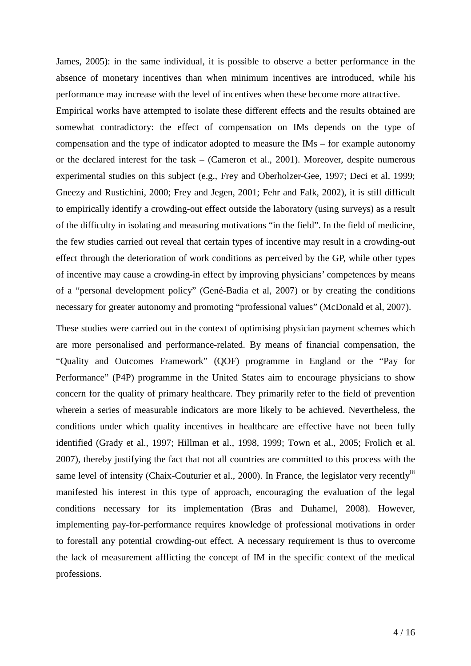James, 2005): in the same individual, it is possible to observe a better performance in the absence of monetary incentives than when minimum incentives are introduced, while his performance may increase with the level of incentives when these become more attractive.

Empirical works have attempted to isolate these different effects and the results obtained are somewhat contradictory: the effect of compensation on IMs depends on the type of compensation and the type of indicator adopted to measure the IMs – for example autonomy or the declared interest for the task – (Cameron et al., 2001). Moreover, despite numerous experimental studies on this subject (e.g., Frey and Oberholzer-Gee, 1997; Deci et al. 1999; Gneezy and Rustichini, 2000; Frey and Jegen, 2001; Fehr and Falk, 2002), it is still difficult to empirically identify a crowding-out effect outside the laboratory (using surveys) as a result of the difficulty in isolating and measuring motivations "in the field". In the field of medicine, the few studies carried out reveal that certain types of incentive may result in a crowding-out effect through the deterioration of work conditions as perceived by the GP, while other types of incentive may cause a crowding-in effect by improving physicians' competences by means of a "personal development policy" (Gené-Badia et al, 2007) or by creating the conditions necessary for greater autonomy and promoting "professional values" (McDonald et al, 2007).

These studies were carried out in the context of optimising physician payment schemes which are more personalised and performance-related. By means of financial compensation, the "Quality and Outcomes Framework" (QOF) programme in England or the "Pay for Performance" (P4P) programme in the United States aim to encourage physicians to show concern for the quality of primary healthcare. They primarily refer to the field of prevention wherein a series of measurable indicators are more likely to be achieved. Nevertheless, the conditions under which quality incentives in healthcare are effective have not been fully identified (Grady et al., 1997; Hillman et al., 1998, 1999; Town et al., 2005; Frolich et al. 2007), thereby justifying the fact that not all countries are committed to this process with the same level of intensity (Chaix-Couturier et al., 2000). In France, the legislator very recently<sup>iii</sup> manifested his interest in this type of approach, encouraging the evaluation of the legal conditions necessary for its implementation (Bras and Duhamel, 2008). However, implementing pay-for-performance requires knowledge of professional motivations in order to forestall any potential crowding-out effect. A necessary requirement is thus to overcome the lack of measurement afflicting the concept of IM in the specific context of the medical professions.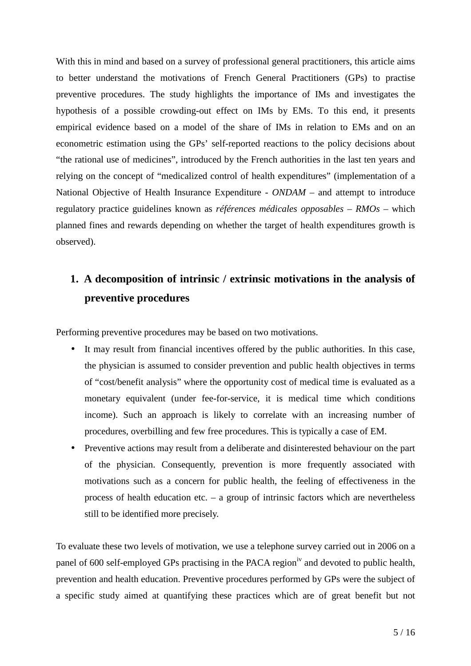With this in mind and based on a survey of professional general practitioners, this article aims to better understand the motivations of French General Practitioners (GPs) to practise preventive procedures. The study highlights the importance of IMs and investigates the hypothesis of a possible crowding-out effect on IMs by EMs. To this end, it presents empirical evidence based on a model of the share of IMs in relation to EMs and on an econometric estimation using the GPs' self-reported reactions to the policy decisions about "the rational use of medicines", introduced by the French authorities in the last ten years and relying on the concept of "medicalized control of health expenditures" (implementation of a National Objective of Health Insurance Expenditure - *ONDAM* – and attempt to introduce regulatory practice guidelines known as *références médicales opposables* – *RMOs* – which planned fines and rewards depending on whether the target of health expenditures growth is observed).

## **1. A decomposition of intrinsic / extrinsic motivations in the analysis of preventive procedures**

Performing preventive procedures may be based on two motivations.

- It may result from financial incentives offered by the public authorities. In this case, the physician is assumed to consider prevention and public health objectives in terms of "cost/benefit analysis" where the opportunity cost of medical time is evaluated as a monetary equivalent (under fee-for-service, it is medical time which conditions income). Such an approach is likely to correlate with an increasing number of procedures, overbilling and few free procedures. This is typically a case of EM.
- Preventive actions may result from a deliberate and disinterested behaviour on the part of the physician. Consequently, prevention is more frequently associated with motivations such as a concern for public health, the feeling of effectiveness in the process of health education etc. – a group of intrinsic factors which are nevertheless still to be identified more precisely.

To evaluate these two levels of motivation, we use a telephone survey carried out in 2006 on a panel of 600 self-employed GPs practising in the PACA region<sup>iv</sup> and devoted to public health, prevention and health education. Preventive procedures performed by GPs were the subject of a specific study aimed at quantifying these practices which are of great benefit but not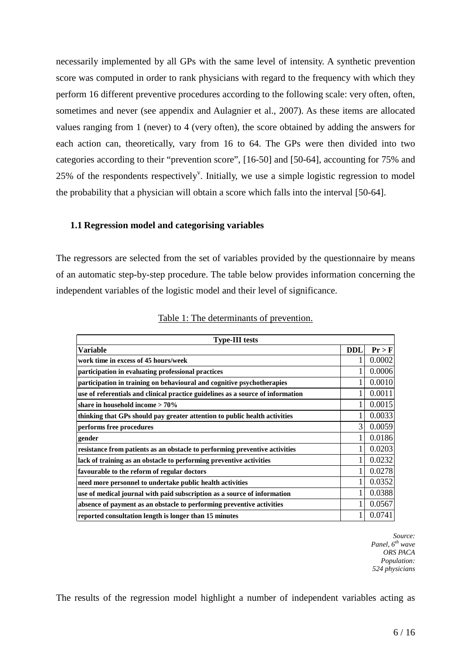necessarily implemented by all GPs with the same level of intensity. A synthetic prevention score was computed in order to rank physicians with regard to the frequency with which they perform 16 different preventive procedures according to the following scale: very often, often, sometimes and never (see appendix and Aulagnier et al., 2007). As these items are allocated values ranging from 1 (never) to 4 (very often), the score obtained by adding the answers for each action can, theoretically, vary from 16 to 64. The GPs were then divided into two categories according to their "prevention score", [16-50] and [50-64], accounting for 75% and 25% of the respondents respectively<sup>v</sup>. Initially, we use a simple logistic regression to model the probability that a physician will obtain a score which falls into the interval [50-64].

#### **1.1 Regression model and categorising variables**

The regressors are selected from the set of variables provided by the questionnaire by means of an automatic step-by-step procedure. The table below provides information concerning the independent variables of the logistic model and their level of significance.

| <b>Type-III tests</b>                                                           |              |        |  |  |  |
|---------------------------------------------------------------------------------|--------------|--------|--|--|--|
| Variable                                                                        | <b>DDL</b>   | Pr > F |  |  |  |
| work time in excess of 45 hours/week                                            | 1            | 0.0002 |  |  |  |
| participation in evaluating professional practices                              | 1            | 0.0006 |  |  |  |
| participation in training on behavioural and cognitive psychotherapies          | 1            | 0.0010 |  |  |  |
| use of referentials and clinical practice guidelines as a source of information | 1            | 0.0011 |  |  |  |
| share in household income $>70\%$                                               | 1            | 0.0015 |  |  |  |
| thinking that GPs should pay greater attention to public health activities      | 1            | 0.0033 |  |  |  |
| performs free procedures                                                        | 3            | 0.0059 |  |  |  |
| gender                                                                          | 1            | 0.0186 |  |  |  |
| resistance from patients as an obstacle to performing preventive activities     | $\mathbf{1}$ | 0.0203 |  |  |  |
| lack of training as an obstacle to performing preventive activities             | 1            | 0.0232 |  |  |  |
| favourable to the reform of regular doctors                                     | 1            | 0.0278 |  |  |  |
| need more personnel to undertake public health activities                       | 1            | 0.0352 |  |  |  |
| use of medical journal with paid subscription as a source of information        | 1            | 0.0388 |  |  |  |
| absence of payment as an obstacle to performing preventive activities           | 1            | 0.0567 |  |  |  |
| reported consultation length is longer than 15 minutes                          | 1            | 0.0741 |  |  |  |

|--|

*Source: Panel, 6th wave ORS PACA Population: 524 physicians* 

The results of the regression model highlight a number of independent variables acting as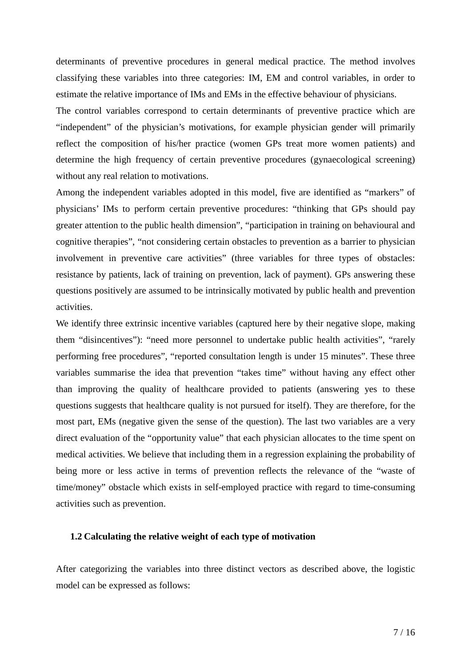determinants of preventive procedures in general medical practice. The method involves classifying these variables into three categories: IM, EM and control variables, in order to estimate the relative importance of IMs and EMs in the effective behaviour of physicians.

The control variables correspond to certain determinants of preventive practice which are "independent" of the physician's motivations, for example physician gender will primarily reflect the composition of his/her practice (women GPs treat more women patients) and determine the high frequency of certain preventive procedures (gynaecological screening) without any real relation to motivations.

Among the independent variables adopted in this model, five are identified as "markers" of physicians' IMs to perform certain preventive procedures: "thinking that GPs should pay greater attention to the public health dimension", "participation in training on behavioural and cognitive therapies", "not considering certain obstacles to prevention as a barrier to physician involvement in preventive care activities" (three variables for three types of obstacles: resistance by patients, lack of training on prevention, lack of payment). GPs answering these questions positively are assumed to be intrinsically motivated by public health and prevention activities.

We identify three extrinsic incentive variables (captured here by their negative slope, making them "disincentives"): "need more personnel to undertake public health activities", "rarely performing free procedures", "reported consultation length is under 15 minutes". These three variables summarise the idea that prevention "takes time" without having any effect other than improving the quality of healthcare provided to patients (answering yes to these questions suggests that healthcare quality is not pursued for itself). They are therefore, for the most part, EMs (negative given the sense of the question). The last two variables are a very direct evaluation of the "opportunity value" that each physician allocates to the time spent on medical activities. We believe that including them in a regression explaining the probability of being more or less active in terms of prevention reflects the relevance of the "waste of time/money" obstacle which exists in self-employed practice with regard to time-consuming activities such as prevention.

#### **1.2 Calculating the relative weight of each type of motivation**

After categorizing the variables into three distinct vectors as described above, the logistic model can be expressed as follows: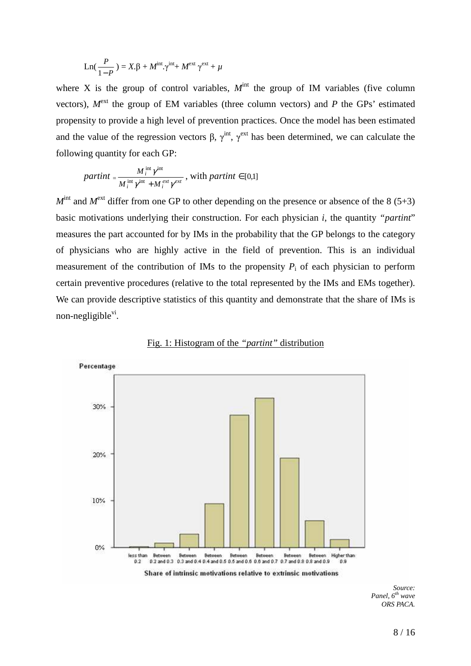$$
Ln(\frac{P}{1-P}) = X.\beta + M^{int}.\gamma^{int} + M^{ext} \gamma^{ext} + \mu
$$

where X is the group of control variables,  $M<sup>int</sup>$  the group of IM variables (five column vectors),  $M^{\text{ext}}$  the group of EM variables (three column vectors) and *P* the GPs' estimated propensity to provide a high level of prevention practices. Once the model has been estimated and the value of the regression vectors  $\beta$ ,  $\gamma^{int}$ ,  $\gamma^{ext}$  has been determined, we can calculate the following quantity for each GP:

*partint* = 
$$
\frac{M_i^{\text{int}} \gamma^{\text{int}}}{M_i^{\text{int}} \gamma^{\text{int}} + M_i^{\text{ext}} \gamma^{\text{ext}}}
$$
, with *partint*  $\in$  [0,1]

 $M<sup>int</sup>$  and  $M<sup>ext</sup>$  differ from one GP to other depending on the presence or absence of the 8 (5+3) basic motivations underlying their construction. For each physician *i*, the quantity *"partint*" measures the part accounted for by IMs in the probability that the GP belongs to the category of physicians who are highly active in the field of prevention. This is an individual measurement of the contribution of IMs to the propensity  $P_i$  of each physician to perform certain preventive procedures (relative to the total represented by the IMs and EMs together). We can provide descriptive statistics of this quantity and demonstrate that the share of IMs is non-negligible<sup>vi</sup>.



Fig. 1: Histogram of the *"partint"* distribution

*Source: Panel, 6th wave ORS PACA.*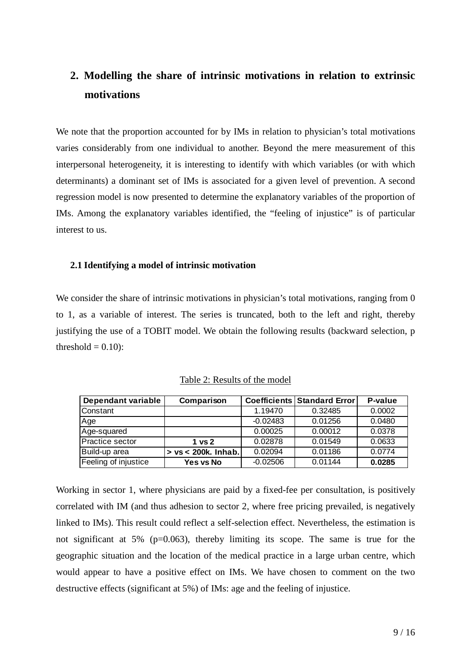### **2. Modelling the share of intrinsic motivations in relation to extrinsic motivations**

We note that the proportion accounted for by IMs in relation to physician's total motivations varies considerably from one individual to another. Beyond the mere measurement of this interpersonal heterogeneity, it is interesting to identify with which variables (or with which determinants) a dominant set of IMs is associated for a given level of prevention. A second regression model is now presented to determine the explanatory variables of the proportion of IMs. Among the explanatory variables identified, the "feeling of injustice" is of particular interest to us.

#### **2.1 Identifying a model of intrinsic motivation**

We consider the share of intrinsic motivations in physician's total motivations, ranging from 0 to 1, as a variable of interest. The series is truncated, both to the left and right, thereby justifying the use of a TOBIT model. We obtain the following results (backward selection, p threshold  $= 0.10$ :

| Dependant variable   | Comparison             |            | <b>Coefficients Standard Error</b> | P-value |
|----------------------|------------------------|------------|------------------------------------|---------|
| Constant             |                        | 1.19470    | 0.32485                            | 0.0002  |
| Age                  |                        | $-0.02483$ | 0.01256                            | 0.0480  |
| Age-squared          |                        | 0.00025    | 0.00012                            | 0.0378  |
| Practice sector      | 1 <sub>vs</sub> 2      | 0.02878    | 0.01549                            | 0.0633  |
| Build-up area        | $> vs < 200k$ . Inhab. | 0.02094    | 0.01186                            | 0.0774  |
| Feeling of injustice | Yes vs No              | $-0.02506$ | 0.01144                            | 0.0285  |

Table 2: Results of the model

Working in sector 1, where physicians are paid by a fixed-fee per consultation, is positively correlated with IM (and thus adhesion to sector 2, where free pricing prevailed, is negatively linked to IMs). This result could reflect a self-selection effect. Nevertheless, the estimation is not significant at 5% (p=0.063), thereby limiting its scope. The same is true for the geographic situation and the location of the medical practice in a large urban centre, which would appear to have a positive effect on IMs. We have chosen to comment on the two destructive effects (significant at 5%) of IMs: age and the feeling of injustice.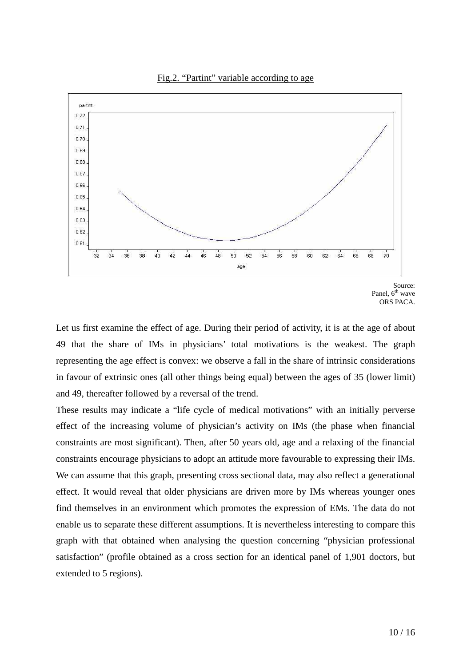

Source: Panel, 6<sup>th</sup> wave ORS PACA.

Let us first examine the effect of age. During their period of activity, it is at the age of about 49 that the share of IMs in physicians' total motivations is the weakest. The graph representing the age effect is convex: we observe a fall in the share of intrinsic considerations in favour of extrinsic ones (all other things being equal) between the ages of 35 (lower limit) and 49, thereafter followed by a reversal of the trend.

These results may indicate a "life cycle of medical motivations" with an initially perverse effect of the increasing volume of physician's activity on IMs (the phase when financial constraints are most significant). Then, after 50 years old, age and a relaxing of the financial constraints encourage physicians to adopt an attitude more favourable to expressing their IMs. We can assume that this graph, presenting cross sectional data, may also reflect a generational effect. It would reveal that older physicians are driven more by IMs whereas younger ones find themselves in an environment which promotes the expression of EMs. The data do not enable us to separate these different assumptions. It is nevertheless interesting to compare this graph with that obtained when analysing the question concerning "physician professional satisfaction" (profile obtained as a cross section for an identical panel of 1,901 doctors, but extended to 5 regions).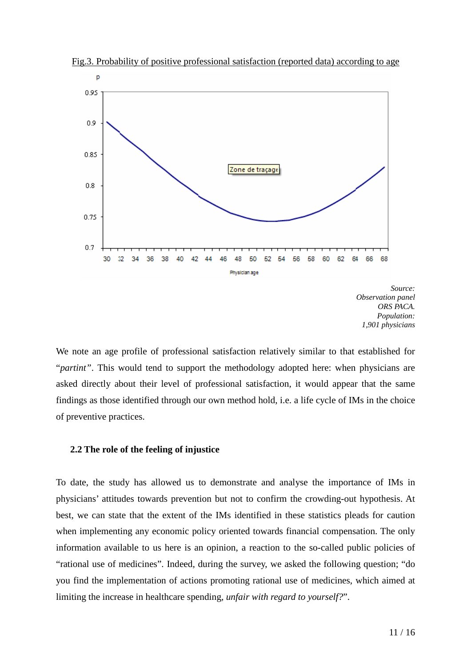

Fig.3. Probability of positive professional satisfaction (reported data) according to age

*Source: Observation panel ORS PACA. Population: 1,901 physicians* 

We note an age profile of professional satisfaction relatively similar to that established for "*partint"*. This would tend to support the methodology adopted here: when physicians are asked directly about their level of professional satisfaction, it would appear that the same findings as those identified through our own method hold, i.e. a life cycle of IMs in the choice of preventive practices.

#### **2.2 The role of the feeling of injustice**

To date, the study has allowed us to demonstrate and analyse the importance of IMs in physicians' attitudes towards prevention but not to confirm the crowding-out hypothesis. At best, we can state that the extent of the IMs identified in these statistics pleads for caution when implementing any economic policy oriented towards financial compensation. The only information available to us here is an opinion, a reaction to the so-called public policies of "rational use of medicines". Indeed, during the survey, we asked the following question; "do you find the implementation of actions promoting rational use of medicines, which aimed at limiting the increase in healthcare spending, *unfair with regard to yourself?*".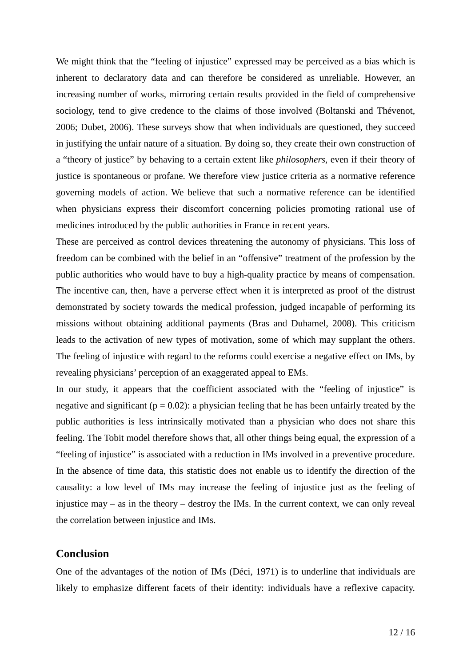We might think that the "feeling of injustice" expressed may be perceived as a bias which is inherent to declaratory data and can therefore be considered as unreliable. However, an increasing number of works, mirroring certain results provided in the field of comprehensive sociology, tend to give credence to the claims of those involved (Boltanski and Thévenot, 2006; Dubet, 2006). These surveys show that when individuals are questioned, they succeed in justifying the unfair nature of a situation. By doing so, they create their own construction of a "theory of justice" by behaving to a certain extent like *philosophers*, even if their theory of justice is spontaneous or profane. We therefore view justice criteria as a normative reference governing models of action. We believe that such a normative reference can be identified when physicians express their discomfort concerning policies promoting rational use of medicines introduced by the public authorities in France in recent years.

These are perceived as control devices threatening the autonomy of physicians. This loss of freedom can be combined with the belief in an "offensive" treatment of the profession by the public authorities who would have to buy a high-quality practice by means of compensation. The incentive can, then, have a perverse effect when it is interpreted as proof of the distrust demonstrated by society towards the medical profession, judged incapable of performing its missions without obtaining additional payments (Bras and Duhamel, 2008). This criticism leads to the activation of new types of motivation, some of which may supplant the others. The feeling of injustice with regard to the reforms could exercise a negative effect on IMs, by revealing physicians' perception of an exaggerated appeal to EMs.

In our study, it appears that the coefficient associated with the "feeling of injustice" is negative and significant ( $p = 0.02$ ): a physician feeling that he has been unfairly treated by the public authorities is less intrinsically motivated than a physician who does not share this feeling. The Tobit model therefore shows that, all other things being equal, the expression of a "feeling of injustice" is associated with a reduction in IMs involved in a preventive procedure. In the absence of time data, this statistic does not enable us to identify the direction of the causality: a low level of IMs may increase the feeling of injustice just as the feeling of injustice may – as in the theory – destroy the IMs. In the current context, we can only reveal the correlation between injustice and IMs.

#### **Conclusion**

One of the advantages of the notion of IMs (Déci, 1971) is to underline that individuals are likely to emphasize different facets of their identity: individuals have a reflexive capacity.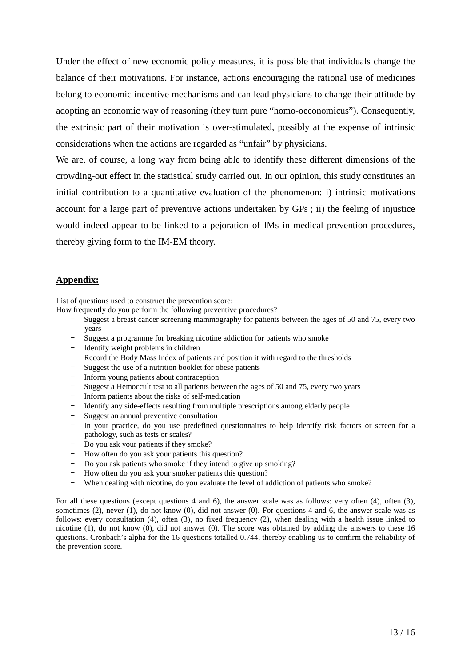Under the effect of new economic policy measures, it is possible that individuals change the balance of their motivations. For instance, actions encouraging the rational use of medicines belong to economic incentive mechanisms and can lead physicians to change their attitude by adopting an economic way of reasoning (they turn pure "homo-oeconomicus"). Consequently, the extrinsic part of their motivation is over-stimulated, possibly at the expense of intrinsic considerations when the actions are regarded as "unfair" by physicians.

We are, of course, a long way from being able to identify these different dimensions of the crowding-out effect in the statistical study carried out. In our opinion, this study constitutes an initial contribution to a quantitative evaluation of the phenomenon: i) intrinsic motivations account for a large part of preventive actions undertaken by GPs ; ii) the feeling of injustice would indeed appear to be linked to a pejoration of IMs in medical prevention procedures, thereby giving form to the IM-EM theory.

#### **Appendix:**

List of questions used to construct the prevention score:

How frequently do you perform the following preventive procedures?

- Suggest a breast cancer screening mammography for patients between the ages of 50 and 75, every two years
- Suggest a programme for breaking nicotine addiction for patients who smoke
- Identify weight problems in children
- Record the Body Mass Index of patients and position it with regard to the thresholds
- Suggest the use of a nutrition booklet for obese patients
- Inform young patients about contraception
- Suggest a Hemoccult test to all patients between the ages of 50 and 75, every two years
- Inform patients about the risks of self-medication
- Identify any side-effects resulting from multiple prescriptions among elderly people
- Suggest an annual preventive consultation
- In your practice, do you use predefined questionnaires to help identify risk factors or screen for a pathology, such as tests or scales?
- Do you ask your patients if they smoke?
- How often do you ask your patients this question?
- Do you ask patients who smoke if they intend to give up smoking?
- How often do you ask your smoker patients this question?
- When dealing with nicotine, do you evaluate the level of addiction of patients who smoke?

For all these questions (except questions 4 and 6), the answer scale was as follows: very often (4), often (3), sometimes (2), never (1), do not know (0), did not answer (0). For questions 4 and 6, the answer scale was as follows: every consultation (4), often (3), no fixed frequency (2), when dealing with a health issue linked to nicotine (1), do not know (0), did not answer (0). The score was obtained by adding the answers to these 16 questions. Cronbach's alpha for the 16 questions totalled 0.744, thereby enabling us to confirm the reliability of the prevention score.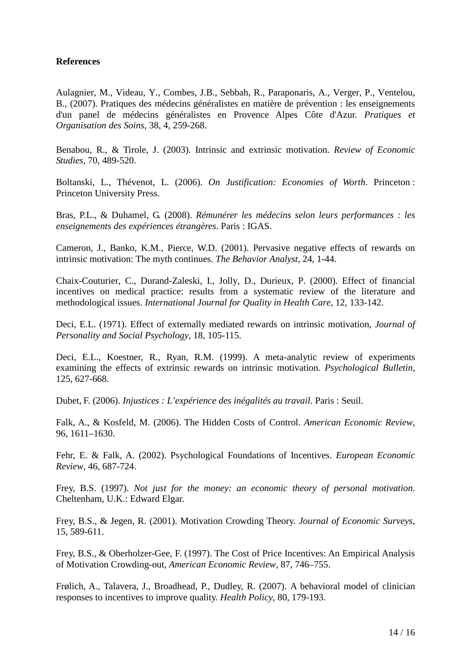#### **References**

Aulagnier, M., Videau, Y., Combes, J.B., Sebbah, R., Paraponaris, A., Verger, P., Ventelou, B., (2007). Pratiques des médecins généralistes en matière de prévention : les enseignements d'un panel de médecins généralistes en Provence Alpes Côte d'Azur. *Pratiques et Organisation des Soins*, 38, 4, 259-268.

Benabou, R., & Tirole, J. (2003). Intrinsic and extrinsic motivation. *Review of Economic Studies*, 70, 489-520.

Boltanski, L., Thévenot, L. (2006). *On Justification: Economies of Worth*. Princeton : Princeton University Press.

Bras, P.L., & Duhamel, G. (2008). *Rémunérer les médecins selon leurs performances : les enseignements des expériences étrangères*. Paris : IGAS.

Cameron, J., Banko, K.M., Pierce, W.D. (2001). Pervasive negative effects of rewards on intrinsic motivation: The myth continues. *The Behavior Analyst*, 24, 1-44.

Chaix-Couturier, C., Durand-Zaleski, I., Jolly, D., Durieux, P. (2000). Effect of financial incentives on medical practice: results from a systematic review of the literature and methodological issues. *International Journal for Quality in Health Care*, 12, 133-142.

Deci, E.L. (1971). Effect of externally mediated rewards on intrinsic motivation, *Journal of Personality and Social Psychology*, 18, 105-115.

Deci, E.L., Koestner, R., Ryan, R.M. (1999). A meta-analytic review of experiments examining the effects of extrinsic rewards on intrinsic motivation. *Psychological Bulletin*, 125, 627-668.

Dubet, F. (2006). *Injustices : L'expérience des inégalités au travail*. Paris : Seuil.

Falk, A., & Kosfeld, M. (2006). The Hidden Costs of Control. *American Economic Review*, 96, 1611–1630.

Fehr, E. & Falk, A. (2002). Psychological Foundations of Incentives. *European Economic Review*, 46, 687-724.

Frey, B.S. (1997). *Not just for the money: an economic theory of personal motivation.* Cheltenham, U.K.: Edward Elgar.

Frey, B.S., & Jegen, R. (2001). Motivation Crowding Theory. *Journal of Economic Surveys*, 15, 589-611.

Frey, B.S., & Oberholzer-Gee, F. (1997). The Cost of Price Incentives: An Empirical Analysis of Motivation Crowding-out, *American Economic Review*, 87, 746–755.

Frølich, A., Talavera, J., Broadhead, P., Dudley, R. (2007). A behavioral model of clinician responses to incentives to improve quality. *Health Policy*, 80, 179-193.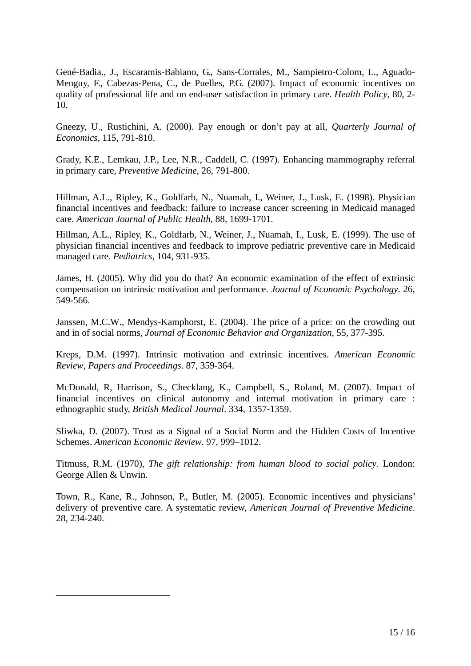Gené-Badia., J., Escaramis-Babiano, G., Sans-Corrales, M., Sampietro-Colom, L., Aguado-Menguy, F., Cabezas-Pena, C., de Puelles, P.G. (2007). Impact of economic incentives on quality of professional life and on end-user satisfaction in primary care. *Health Policy*, 80, 2- 10.

Gneezy, U., Rustichini, A. (2000). Pay enough or don't pay at all, *Quarterly Journal of Economics*, 115, 791-810.

Grady, K.E., Lemkau, J.P., Lee, N.R., Caddell, C. (1997). Enhancing mammography referral in primary care, *Preventive Medicine*, 26, 791-800.

Hillman, A.L., Ripley, K., Goldfarb, N., Nuamah, I., Weiner, J., Lusk, E. (1998). Physician financial incentives and feedback: failure to increase cancer screening in Medicaid managed care. *American Journal of Public Health*, 88, 1699-1701.

Hillman, A.L., Ripley, K., Goldfarb, N., Weiner, J., Nuamah, I., Lusk, E. (1999). The use of physician financial incentives and feedback to improve pediatric preventive care in Medicaid managed care. *Pediatrics*, 104, 931-935.

James, H. (2005). Why did you do that? An economic examination of the effect of extrinsic compensation on intrinsic motivation and performance. *Journal of Economic Psychology*. 26, 549-566.

Janssen, M.C.W., Mendys-Kamphorst, E. (2004). The price of a price: on the crowding out and in of social norms, *Journal of Economic Behavior and Organization*, 55, 377-395.

Kreps, D.M. (1997). Intrinsic motivation and extrinsic incentives. *American Economic Review*, *Papers and Proceedings*. 87, 359-364.

McDonald, R, Harrison, S., Checklang, K., Campbell, S., Roland, M. (2007). Impact of financial incentives on clinical autonomy and internal motivation in primary care : ethnographic study, *British Medical Journal*. 334, 1357-1359.

Sliwka, D. (2007). Trust as a Signal of a Social Norm and the Hidden Costs of Incentive Schemes. *American Economic Review*. 97, 999–1012.

Titmuss, R.M. (1970), *The gift relationship: from human blood to social policy*. London: George Allen & Unwin.

Town, R., Kane, R., Johnson, P., Butler, M. (2005). Economic incentives and physicians' delivery of preventive care. A systematic review, *American Journal of Preventive Medicine*. 28, 234-240.

 $\overline{a}$